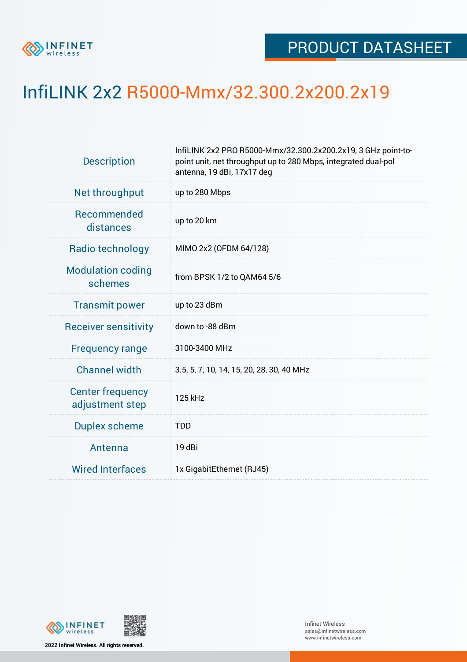

## InfiLINK 2x2 R5000-Mmx/32.300.2x200.2x19

| <b>Description</b>                         | InfiLINK 2x2 PRO R5000-Mmx/32.300.2x200.2x19, 3 GHz point-to-<br>point unit, net throughput up to 280 Mbps, integrated dual-pol<br>antenna, 19 dBi, 17x17 deg |  |  |  |  |
|--------------------------------------------|---------------------------------------------------------------------------------------------------------------------------------------------------------------|--|--|--|--|
| Net throughput                             | up to 280 Mbps                                                                                                                                                |  |  |  |  |
| Recommended<br>distances                   | up to 20 km                                                                                                                                                   |  |  |  |  |
| Radio technology                           | MIMO 2x2 (OFDM 64/128)                                                                                                                                        |  |  |  |  |
| <b>Modulation coding</b><br>schemes        | from BPSK 1/2 to QAM64 5/6                                                                                                                                    |  |  |  |  |
| <b>Transmit power</b>                      | up to 23 dBm                                                                                                                                                  |  |  |  |  |
| <b>Receiver sensitivity</b>                | down to -88 dBm                                                                                                                                               |  |  |  |  |
| <b>Frequency range</b>                     | 3100-3400 MHz                                                                                                                                                 |  |  |  |  |
| <b>Channel width</b>                       | 3.5, 5, 7, 10, 14, 15, 20, 28, 30, 40 MHz                                                                                                                     |  |  |  |  |
| <b>Center frequency</b><br>adjustment step | 125 kHz                                                                                                                                                       |  |  |  |  |
| <b>Duplex scheme</b>                       | <b>TDD</b>                                                                                                                                                    |  |  |  |  |
| Antenna                                    | 19 dBi                                                                                                                                                        |  |  |  |  |
| <b>Wired Interfaces</b>                    | 1x GigabitEthernet (RJ45)                                                                                                                                     |  |  |  |  |



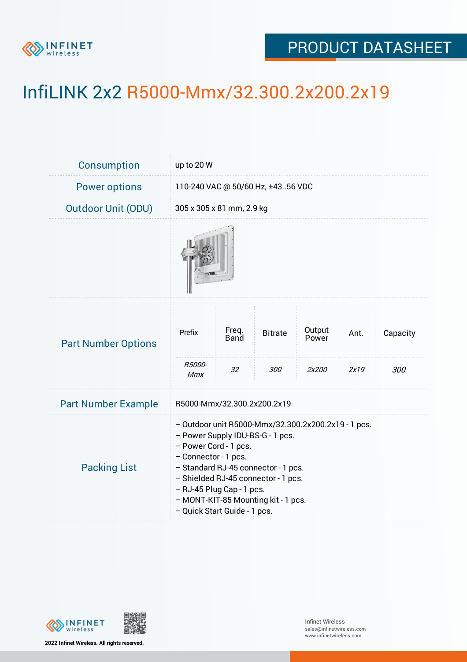

## PRODUCT DATASHEET

## InfiLINK 2x2 R5000-Mmx/32.300.2x200.2x19

| Consumption                | up to 20 W                                                                                                                                                                                                                                                                                                                 |                            |                       |                          |              |                 |  |
|----------------------------|----------------------------------------------------------------------------------------------------------------------------------------------------------------------------------------------------------------------------------------------------------------------------------------------------------------------------|----------------------------|-----------------------|--------------------------|--------------|-----------------|--|
| <b>Power options</b>       | 110-240 VAC @ 50/60 Hz, ±4356 VDC                                                                                                                                                                                                                                                                                          |                            |                       |                          |              |                 |  |
| <b>Outdoor Unit (ODU)</b>  | 305 x 305 x 81 mm, 2.9 kg                                                                                                                                                                                                                                                                                                  |                            |                       |                          |              |                 |  |
|                            |                                                                                                                                                                                                                                                                                                                            |                            |                       |                          |              |                 |  |
| <b>Part Number Options</b> | Prefix<br>R5000-<br><b>Mmx</b>                                                                                                                                                                                                                                                                                             | Freq.<br><b>Band</b><br>32 | <b>Bitrate</b><br>300 | Output<br>Power<br>2x200 | Ant.<br>2x19 | Capacity<br>300 |  |
| <b>Part Number Example</b> | R5000-Mmx/32.300.2x200.2x19                                                                                                                                                                                                                                                                                                |                            |                       |                          |              |                 |  |
| <b>Packing List</b>        | - Outdoor unit R5000-Mmx/32.300.2x200.2x19 - 1 pcs.<br>- Power Supply IDU-BS-G - 1 pcs.<br>- Power Cord - 1 pcs.<br>- Connector - 1 pcs.<br>- Standard RJ-45 connector - 1 pcs.<br>- Shielded RJ-45 connector - 1 pcs.<br>- RJ-45 Plug Cap - 1 pcs.<br>- MONT-KIT-85 Mounting kit - 1 pcs.<br>- Quick Start Guide - 1 pcs. |                            |                       |                          |              |                 |  |



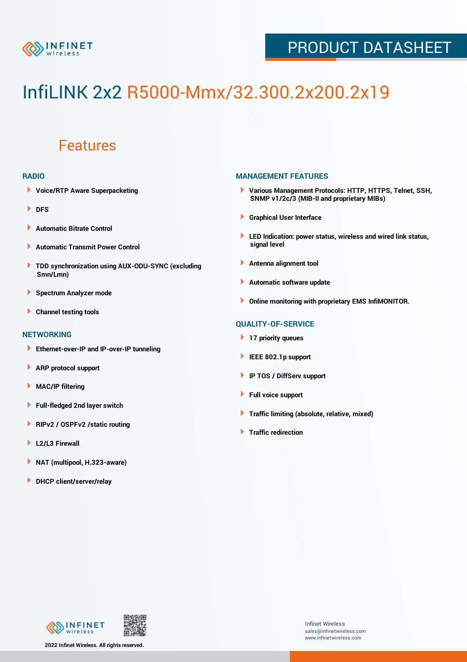

## PRODUCT DATASHEET

# InfiLINK 2x2 R5000-Mmx/32.300.2x200.2x19

### Features

#### **RADIO**

- **Voice/RTP Aware Superpacketing**
- **DFS**
- **Automatic Bitrate Control** Þ
- Þ **Automatic Transmit Power Control**
- ь **TDD synchronization using AUX-ODU-SYNC (excluding Smn/Lmn)**
- **Spectrum Analyzer mode** ۰
- **Channel testing tools** ١

#### **NETWORKING**

- **Ethernet-over-IP and IP-over-IP tunneling**
- **ARP protocol support** ٠
- ۱ **MAC/IP filtering**
- Þ **Full-fledged 2nd layer switch**
- Þ **RIPv2 / OSPFv2 /static routing**
- **L2/L3 Firewall** Þ
- **NAT (multipool, H.323-aware)** Þ
- Þ **DHCP client/server/relay**

#### **MANAGEMENT FEATURES**

- **Various Management Protocols: HTTP, HTTPS, Telnet, SSH, SNMP v1/2c/3 (MIB-II and proprietary MIBs)**
- **Graphical User Interface**
- **LED Indication: power status, wireless and wired link status, signal level**
- **Antenna alignment tool**
- ٠ **Automatic software update**
- **Online monitoring with proprietary EMS InfiMONITOR.**

#### **QUALITY-OF-SERVICE**

- **17 priority queues**
- **IEEE 802.1p support**
- **IP TOS / DiffServ support**
- ٠ **Full voice support**
- **Traffic limiting (absolute, relative, mixed)** ٠
- **Traffic redirection**